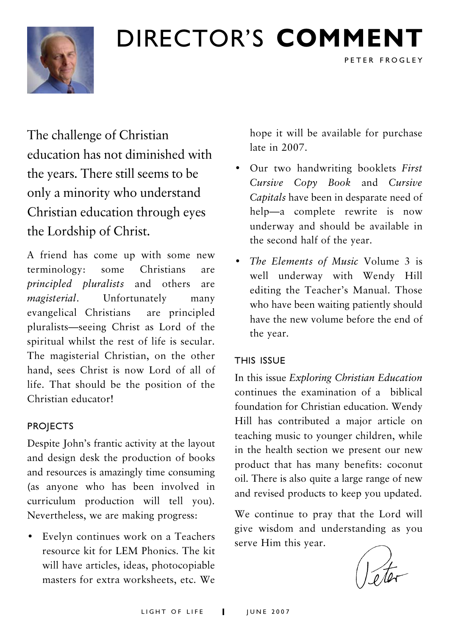

## DIRECTOR'S COMMENT

The challenge of Christian education has not diminished with the years. There still seems to be only a minority who understand Christian education through eyes the Lordship of Christ.

A friend has come up with some new terminology: some Christians are principled pluralists and others are magisterial. Unfortunately many evangelical Christians are principled pluralists—seeing Christ as Lord of the spiritual whilst the rest of life is secular. The magisterial Christian, on the other hand, sees Christ is now Lord of all of life. That should be the position of the Christian educator!

#### PROJECTS

Despite John's frantic activity at the layout and design desk the production of books and resources is amazingly time consuming (as anyone who has been involved in curriculum production will tell you). Nevertheless, we are making progress:

• Evelyn continues work on a Teachers resource kit for LEM Phonics. The kit will have articles, ideas, photocopiable masters for extra worksheets, etc. We

hope it will be available for purchase late in 2007.

PETER FROGLEY

- Our two handwriting booklets First Cursive Copy Book and Cursive Capitals have been in desparate need of help—a complete rewrite is now underway and should be available in the second half of the year.
- The Elements of Music Volume 3 is well underway with Wendy Hill editing the Teacher's Manual. Those who have been waiting patiently should have the new volume before the end of the year.

#### THIS ISSUE

In this issue Exploring Christian Education continues the examination of a biblical foundation for Christian education. Wendy Hill has contributed a major article on teaching music to younger children, while in the health section we present our new product that has many benefits: coconut oil. There is also quite a large range of new and revised products to keep you updated.

We continue to pray that the Lord will give wisdom and understanding as you serve Him this year.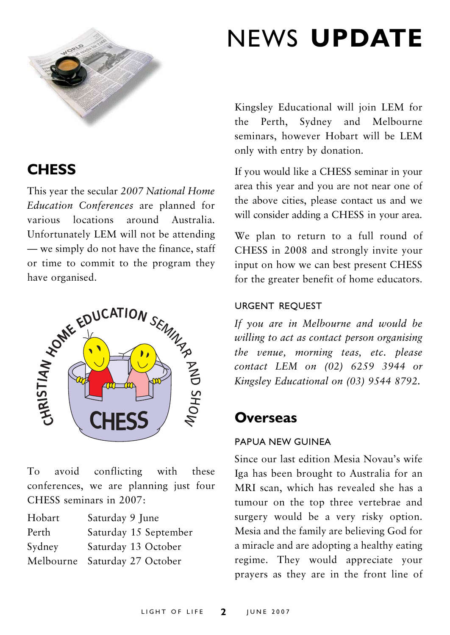

## **CHESS**

This year the secular 2007 National Home Education Conferences are planned for various locations around Australia. Unfortunately LEM will not be attending — we simply do not have the finance, staff or time to commit to the program they have organised.



To avoid conflicting with these conferences, we are planning just four CHESS seminars in 2007:

| Hobart | Saturday 9 June               |
|--------|-------------------------------|
| Perth  | Saturday 15 September         |
| Sydney | Saturday 13 October           |
|        | Melbourne Saturday 27 October |

## NEWS UPDATE

Kingsley Educational will join LEM for the Perth, Sydney and Melbourne seminars, however Hobart will be LEM only with entry by donation.

If you would like a CHESS seminar in your area this year and you are not near one of the above cities, please contact us and we will consider adding a CHESS in your area.

We plan to return to a full round of CHESS in 2008 and strongly invite your input on how we can best present CHESS for the greater benefit of home educators.

#### URGENT REQUEST

If you are in Melbourne and would be willing to act as contact person organising the venue, morning teas, etc. please contact LEM on (02) 6259 3944 or Kingsley Educational on (03) 9544 8792.

### **Overseas**

#### PAPUA NEW GUINEA

Since our last edition Mesia Novau's wife Iga has been brought to Australia for an MRI scan, which has revealed she has a tumour on the top three vertebrae and surgery would be a very risky option. Mesia and the family are believing God for a miracle and are adopting a healthy eating regime. They would appreciate your prayers as they are in the front line of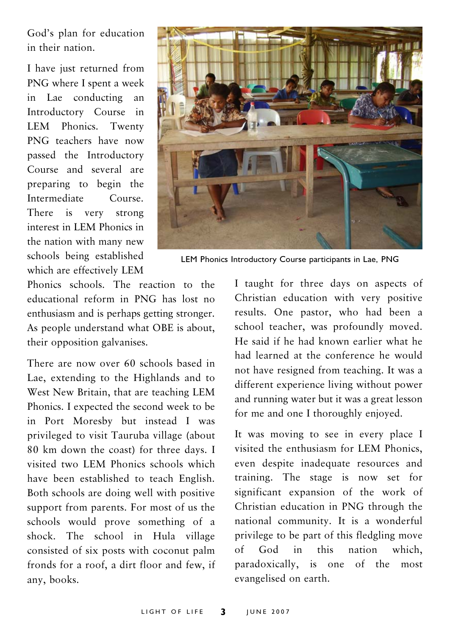God's plan for education in their nation.

I have just returned from PNG where I spent a week in Lae conducting an Introductory Course in LEM Phonics. Twenty PNG teachers have now passed the Introductory Course and several are preparing to begin the Intermediate Course. There is very strong interest in LEM Phonics in the nation with many new schools being established which are effectively LEM



LEM Phonics Introductory Course participants in Lae, PNG

Phonics schools. The reaction to the educational reform in PNG has lost no enthusiasm and is perhaps getting stronger. As people understand what OBE is about, their opposition galvanises.

There are now over 60 schools based in Lae, extending to the Highlands and to West New Britain, that are teaching LEM Phonics. I expected the second week to be in Port Moresby but instead I was privileged to visit Tauruba village (about 80 km down the coast) for three days. I visited two LEM Phonics schools which have been established to teach English. Both schools are doing well with positive support from parents. For most of us the schools would prove something of a shock. The school in Hula village consisted of six posts with coconut palm fronds for a roof, a dirt floor and few, if any, books.

I taught for three days on aspects of Christian education with very positive results. One pastor, who had been a school teacher, was profoundly moved. He said if he had known earlier what he had learned at the conference he would not have resigned from teaching. It was a different experience living without power and running water but it was a great lesson for me and one I thoroughly enjoyed.

It was moving to see in every place I visited the enthusiasm for LEM Phonics, even despite inadequate resources and training. The stage is now set for significant expansion of the work of Christian education in PNG through the national community. It is a wonderful privilege to be part of this fledgling move of God in this nation which, paradoxically, is one of the most evangelised on earth.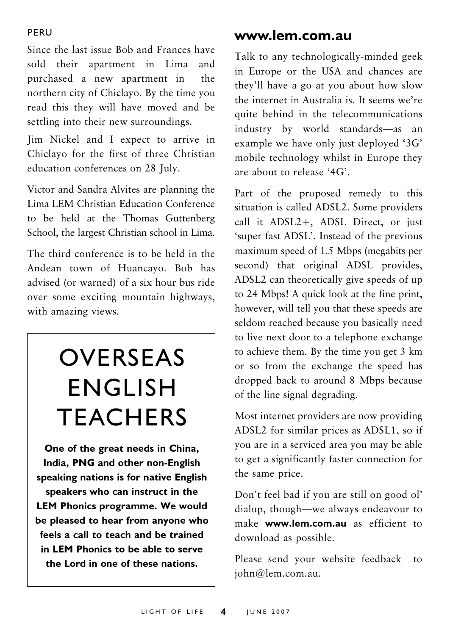#### PERU

Since the last issue Bob and Frances have sold their apartment in Lima and purchased a new apartment in the northern city of Chiclayo. By the time you read this they will have moved and be settling into their new surroundings.

Jim Nickel and I expect to arrive in Chiclayo for the first of three Christian education conferences on 28 July.

Victor and Sandra Alvites are planning the Lima LEM Christian Education Conference to be held at the Thomas Guttenberg School, the largest Christian school in Lima.

The third conference is to be held in the Andean town of Huancayo. Bob has advised (or warned) of a six hour bus ride over some exciting mountain highways, with amazing views.

## OVERSEAS ENGLISH **TEACHERS**

One of the great needs in China, India, PNG and other non-English speaking nations is for native English speakers who can instruct in the LEM Phonics programme. We would be pleased to hear from anyone who feels a call to teach and be trained in LEM Phonics to be able to serve the Lord in one of these nations.

### www.lem.com.au

Talk to any technologically-minded geek in Europe or the USA and chances are they'll have a go at you about how slow the internet in Australia is. It seems we're quite behind in the telecommunications industry by world standards—as an example we have only just deployed '3G' mobile technology whilst in Europe they are about to release '4G'.

Part of the proposed remedy to this situation is called ADSL2. Some providers call it ADSL2+, ADSL Direct, or just 'super fast ADSL'. Instead of the previous maximum speed of 1.5 Mbps (megabits per second) that original ADSL provides, ADSL2 can theoretically give speeds of up to 24 Mbps! A quick look at the fine print, however, will tell you that these speeds are seldom reached because you basically need to live next door to a telephone exchange to achieve them. By the time you get 3 km or so from the exchange the speed has dropped back to around 8 Mbps because of the line signal degrading.

Most internet providers are now providing ADSL2 for similar prices as ADSL1, so if you are in a serviced area you may be able to get a significantly faster connection for the same price.

Don't feel bad if you are still on good ol' dialup, though—we always endeavour to make **www.lem.com.au** as efficient to download as possible.

Please send your website feedback to john@lem.com.au.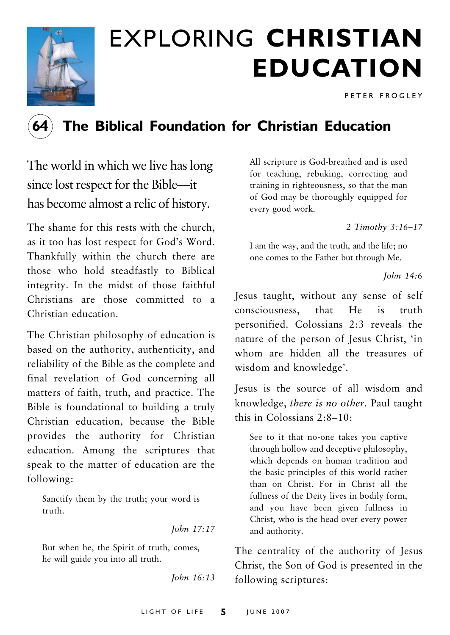

# EXPLORING CHRISTIAN EDUCATION

PETER FROGLEY



## The Biblical Foundation for Christian Education

The world in which we live has long since lost respect for the Bible—it has become almost a relic of history.

The shame for this rests with the church, as it too has lost respect for God's Word. Thankfully within the church there are those who hold steadfastly to Biblical integrity. In the midst of those faithful Christians are those committed to a Christian education.

The Christian philosophy of education is based on the authority, authenticity, and reliability of the Bible as the complete and final revelation of God concerning all matters of faith, truth, and practice. The Bible is foundational to building a truly Christian education, because the Bible provides the authority for Christian education. Among the scriptures that speak to the matter of education are the following:

Sanctify them by the truth; your word is truth.

John 17:17

But when he, the Spirit of truth, comes, he will guide you into all truth.

John 16:13

All scripture is God-breathed and is used for teaching, rebuking, correcting and training in righteousness, so that the man of God may be thoroughly equipped for every good work.

2 Timothy 3:16–17

I am the way, and the truth, and the life; no one comes to the Father but through Me.

John 14:6

Jesus taught, without any sense of self consciousness, that He is truth personified. Colossians 2:3 reveals the nature of the person of Jesus Christ, 'in whom are hidden all the treasures of wisdom and knowledge'.

Jesus is the source of all wisdom and knowledge, there is no other. Paul taught this in Colossians 2:8–10:

See to it that no-one takes you captive through hollow and deceptive philosophy, which depends on human tradition and the basic principles of this world rather than on Christ. For in Christ all the fullness of the Deity lives in bodily form, and you have been given fullness in Christ, who is the head over every power and authority.

The centrality of the authority of Jesus Christ, the Son of God is presented in the following scriptures: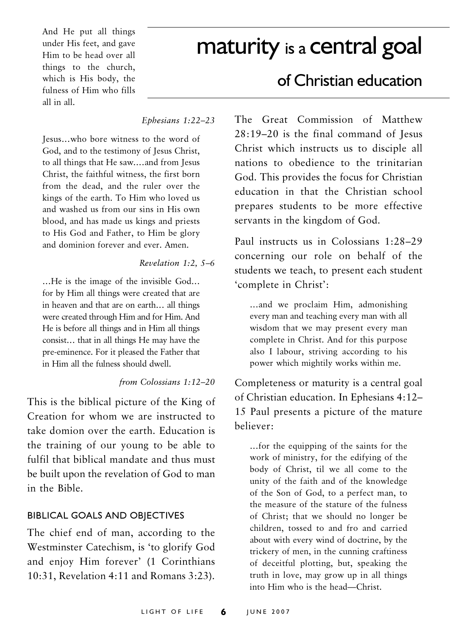And He put all things under His feet, and gave Him to be head over all things to the church, which is His body, the fulness of Him who fills all in all.

## maturity is a central goal

#### Ephesians 1:22–23

Jesus…who bore witness to the word of God, and to the testimony of Jesus Christ, to all things that He saw.…and from Jesus Christ, the faithful witness, the first born from the dead, and the ruler over the kings of the earth. To Him who loved us and washed us from our sins in His own blood, and has made us kings and priests to His God and Father, to Him be glory and dominion forever and ever. Amen.

#### Revelation 1:2, 5–6

…He is the image of the invisible God… for by Him all things were created that are in heaven and that are on earth… all things were created through Him and for Him. And He is before all things and in Him all things consist… that in all things He may have the pre-eminence. For it pleased the Father that in Him all the fulness should dwell.

#### from Colossians 1:12–20

This is the biblical picture of the King of Creation for whom we are instructed to take domion over the earth. Education is the training of our young to be able to fulfil that biblical mandate and thus must be built upon the revelation of God to man in the Bible.

#### BIBLICAL GOALS AND OBJECTIVES

The chief end of man, according to the Westminster Catechism, is 'to glorify God and enjoy Him forever' (1 Corinthians 10:31, Revelation 4:11 and Romans 3:23).

### of Christian education

The Great Commission of Matthew 28:19–20 is the final command of Jesus Christ which instructs us to disciple all nations to obedience to the trinitarian God. This provides the focus for Christian education in that the Christian school prepares students to be more effective servants in the kingdom of God.

Paul instructs us in Colossians 1:28–29 concerning our role on behalf of the students we teach, to present each student 'complete in Christ':

…and we proclaim Him, admonishing every man and teaching every man with all wisdom that we may present every man complete in Christ. And for this purpose also I labour, striving according to his power which mightily works within me.

Completeness or maturity is a central goal of Christian education. In Ephesians 4:12– 15 Paul presents a picture of the mature believer:

…for the equipping of the saints for the work of ministry, for the edifying of the body of Christ, til we all come to the unity of the faith and of the knowledge of the Son of God, to a perfect man, to the measure of the stature of the fulness of Christ; that we should no longer be children, tossed to and fro and carried about with every wind of doctrine, by the trickery of men, in the cunning craftiness of deceitful plotting, but, speaking the truth in love, may grow up in all things into Him who is the head—Christ.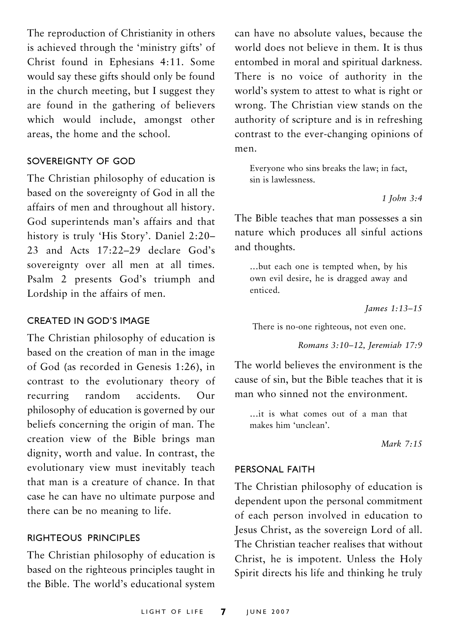The reproduction of Christianity in others is achieved through the 'ministry gifts' of Christ found in Ephesians 4:11. Some would say these gifts should only be found in the church meeting, but I suggest they are found in the gathering of believers which would include, amongst other areas, the home and the school.

#### SOVEREIGNTY OF GOD

The Christian philosophy of education is based on the sovereignty of God in all the affairs of men and throughout all history. God superintends man's affairs and that history is truly 'His Story'. Daniel 2:20– 23 and Acts 17:22–29 declare God's sovereignty over all men at all times. Psalm 2 presents God's triumph and Lordship in the affairs of men.

#### CREATED IN GOD'S IMAGE

The Christian philosophy of education is based on the creation of man in the image of God (as recorded in Genesis 1:26), in contrast to the evolutionary theory of recurring random accidents. Our philosophy of education is governed by our beliefs concerning the origin of man. The creation view of the Bible brings man dignity, worth and value. In contrast, the evolutionary view must inevitably teach that man is a creature of chance. In that case he can have no ultimate purpose and there can be no meaning to life.

#### RIGHTEOUS PRINCIPLES

The Christian philosophy of education is based on the righteous principles taught in the Bible. The world's educational system can have no absolute values, because the world does not believe in them. It is thus entombed in moral and spiritual darkness. There is no voice of authority in the world's system to attest to what is right or wrong. The Christian view stands on the authority of scripture and is in refreshing contrast to the ever-changing opinions of men.

Everyone who sins breaks the law; in fact, sin is lawlessness.

1 John 3:4

The Bible teaches that man possesses a sin nature which produces all sinful actions and thoughts.

…but each one is tempted when, by his own evil desire, he is dragged away and enticed.

James 1:13–15

There is no-one righteous, not even one.

Romans 3:10–12, Jeremiah 17:9

The world believes the environment is the cause of sin, but the Bible teaches that it is man who sinned not the environment.

…it is what comes out of a man that makes him 'unclean'.

Mark 7:15

#### PERSONAL FAITH

The Christian philosophy of education is dependent upon the personal commitment of each person involved in education to Jesus Christ, as the sovereign Lord of all. The Christian teacher realises that without Christ, he is impotent. Unless the Holy Spirit directs his life and thinking he truly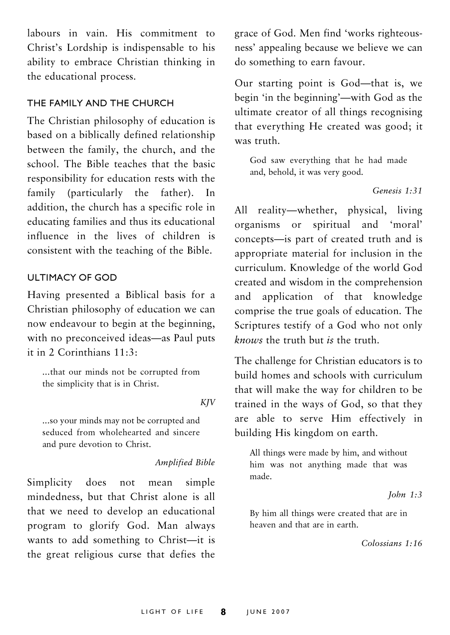labours in vain. His commitment to Christ's Lordship is indispensable to his ability to embrace Christian thinking in the educational process.

#### THE FAMILY AND THE CHURCH

The Christian philosophy of education is based on a biblically defined relationship between the family, the church, and the school. The Bible teaches that the basic responsibility for education rests with the family (particularly the father). In addition, the church has a specific role in educating families and thus its educational influence in the lives of children is consistent with the teaching of the Bible.

#### ULTIMACY OF GOD

Having presented a Biblical basis for a Christian philosophy of education we can now endeavour to begin at the beginning, with no preconceived ideas—as Paul puts it in 2 Corinthians 11:3:

...that our minds not be corrupted from the simplicity that is in Christ.

#### KJV

...so your minds may not be corrupted and seduced from wholehearted and sincere and pure devotion to Christ.

#### Amplified Bible

Simplicity does not mean simple mindedness, but that Christ alone is all that we need to develop an educational program to glorify God. Man always wants to add something to Christ—it is the great religious curse that defies the grace of God. Men find 'works righteousness' appealing because we believe we can do something to earn favour.

Our starting point is God—that is, we begin 'in the beginning'—with God as the ultimate creator of all things recognising that everything He created was good; it was truth.

God saw everything that he had made and, behold, it was very good.

#### Genesis 1:31

All reality—whether, physical, living organisms or spiritual and 'moral' concepts—is part of created truth and is appropriate material for inclusion in the curriculum. Knowledge of the world God created and wisdom in the comprehension and application of that knowledge comprise the true goals of education. The Scriptures testify of a God who not only knows the truth but is the truth.

The challenge for Christian educators is to build homes and schools with curriculum that will make the way for children to be trained in the ways of God, so that they are able to serve Him effectively in building His kingdom on earth.

All things were made by him, and without him was not anything made that was made.

#### John 1:3

By him all things were created that are in heaven and that are in earth.

Colossians 1:16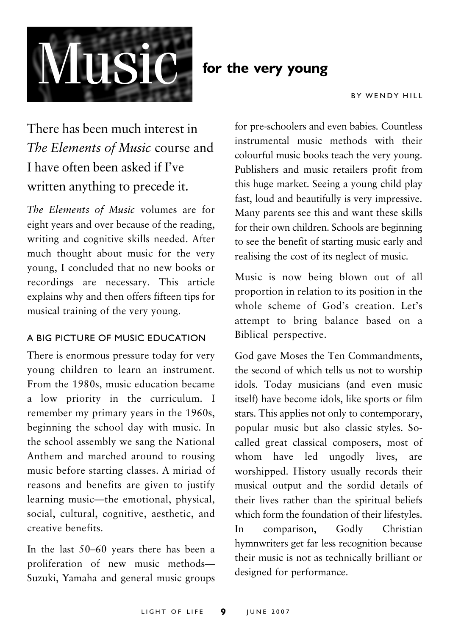

#### BY WENDY HILL

## There has been much interest in The Elements of Music course and I have often been asked if I've written anything to precede it.

The Elements of Music volumes are for eight years and over because of the reading, writing and cognitive skills needed. After much thought about music for the very young, I concluded that no new books or recordings are necessary. This article explains why and then offers fifteen tips for musical training of the very young.

#### A BIG PICTURE OF MUSIC EDUCATION

There is enormous pressure today for very young children to learn an instrument. From the 1980s, music education became a low priority in the curriculum. I remember my primary years in the 1960s, beginning the school day with music. In the school assembly we sang the National Anthem and marched around to rousing music before starting classes. A miriad of reasons and benefits are given to justify learning music—the emotional, physical, social, cultural, cognitive, aesthetic, and creative benefits.

In the last 50–60 years there has been a proliferation of new music methods— Suzuki, Yamaha and general music groups

for pre-schoolers and even babies. Countless instrumental music methods with their colourful music books teach the very young. Publishers and music retailers profit from this huge market. Seeing a young child play fast, loud and beautifully is very impressive. Many parents see this and want these skills for their own children. Schools are beginning to see the benefit of starting music early and realising the cost of its neglect of music.

Music is now being blown out of all proportion in relation to its position in the whole scheme of God's creation. Let's attempt to bring balance based on a Biblical perspective.

God gave Moses the Ten Commandments, the second of which tells us not to worship idols. Today musicians (and even music itself) have become idols, like sports or film stars. This applies not only to contemporary, popular music but also classic styles. Socalled great classical composers, most of whom have led ungodly lives, are worshipped. History usually records their musical output and the sordid details of their lives rather than the spiritual beliefs which form the foundation of their lifestyles. In comparison, Godly Christian hymnwriters get far less recognition because their music is not as technically brilliant or designed for performance.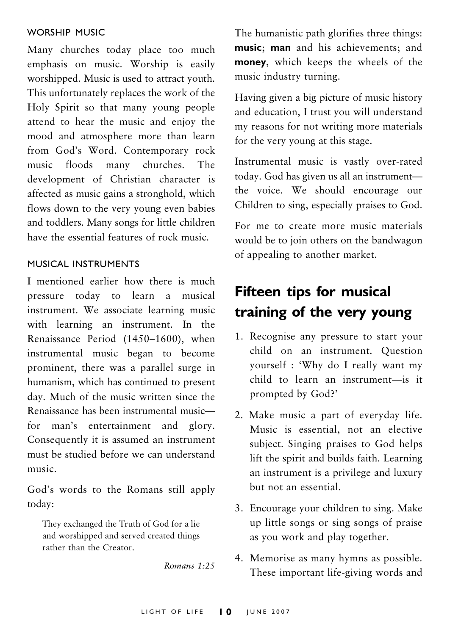#### WORSHIP MUSIC

Many churches today place too much emphasis on music. Worship is easily worshipped. Music is used to attract youth. This unfortunately replaces the work of the Holy Spirit so that many young people attend to hear the music and enjoy the mood and atmosphere more than learn from God's Word. Contemporary rock music floods many churches. The development of Christian character is affected as music gains a stronghold, which flows down to the very young even babies and toddlers. Many songs for little children have the essential features of rock music.

#### MUSICAL INSTRUMENTS

I mentioned earlier how there is much pressure today to learn a musical instrument. We associate learning music with learning an instrument. In the Renaissance Period (1450–1600), when instrumental music began to become prominent, there was a parallel surge in humanism, which has continued to present day. Much of the music written since the Renaissance has been instrumental music for man's entertainment and glory. Consequently it is assumed an instrument must be studied before we can understand music.

God's words to the Romans still apply today:

They exchanged the Truth of God for a lie and worshipped and served created things rather than the Creator.

Romans 1:25

The humanistic path glorifies three things: music; man and his achievements; and money, which keeps the wheels of the music industry turning.

Having given a big picture of music history and education, I trust you will understand my reasons for not writing more materials for the very young at this stage.

Instrumental music is vastly over-rated today. God has given us all an instrument the voice. We should encourage our Children to sing, especially praises to God.

For me to create more music materials would be to join others on the bandwagon of appealing to another market.

## Fifteen tips for musical training of the very young

- 1. Recognise any pressure to start your child on an instrument. Question yourself : 'Why do I really want my child to learn an instrument—is it prompted by God?'
- 2. Make music a part of everyday life. Music is essential, not an elective subject. Singing praises to God helps lift the spirit and builds faith. Learning an instrument is a privilege and luxury but not an essential.
- 3. Encourage your children to sing. Make up little songs or sing songs of praise as you work and play together.
- 4. Memorise as many hymns as possible. These important life-giving words and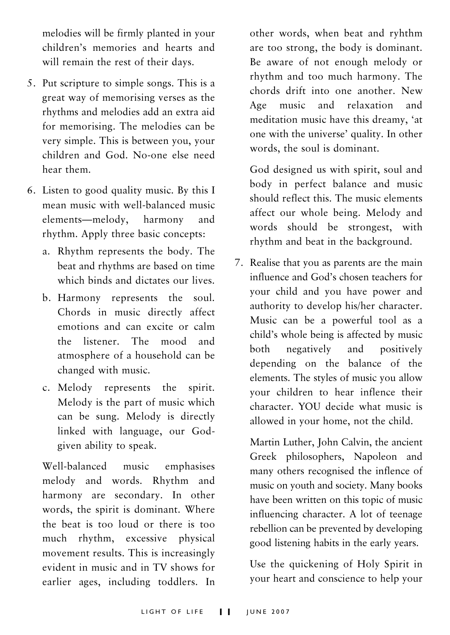melodies will be firmly planted in your children's memories and hearts and will remain the rest of their days.

- 5. Put scripture to simple songs. This is a great way of memorising verses as the rhythms and melodies add an extra aid for memorising. The melodies can be very simple. This is between you, your children and God. No-one else need hear them.
- 6. Listen to good quality music. By this I mean music with well-balanced music elements—melody, harmony and rhythm. Apply three basic concepts:
	- a. Rhythm represents the body. The beat and rhythms are based on time which binds and dictates our lives.
	- b. Harmony represents the soul. Chords in music directly affect emotions and can excite or calm the listener. The mood and atmosphere of a household can be changed with music.
	- c. Melody represents the spirit. Melody is the part of music which can be sung. Melody is directly linked with language, our Godgiven ability to speak.

Well-balanced music emphasises melody and words. Rhythm and harmony are secondary. In other words, the spirit is dominant. Where the beat is too loud or there is too much rhythm, excessive physical movement results. This is increasingly evident in music and in TV shows for earlier ages, including toddlers. In other words, when beat and ryhthm are too strong, the body is dominant. Be aware of not enough melody or rhythm and too much harmony. The chords drift into one another. New Age music and relaxation and meditation music have this dreamy, 'at one with the universe' quality. In other words, the soul is dominant.

God designed us with spirit, soul and body in perfect balance and music should reflect this. The music elements affect our whole being. Melody and words should be strongest, with rhythm and beat in the background.

7. Realise that you as parents are the main influence and God's chosen teachers for your child and you have power and authority to develop his/her character. Music can be a powerful tool as a child's whole being is affected by music both negatively and positively depending on the balance of the elements. The styles of music you allow your children to hear inflence their character. YOU decide what music is allowed in your home, not the child.

Martin Luther, John Calvin, the ancient Greek philosophers, Napoleon and many others recognised the inflence of music on youth and society. Many books have been written on this topic of music influencing character. A lot of teenage rebellion can be prevented by developing good listening habits in the early years.

Use the quickening of Holy Spirit in your heart and conscience to help your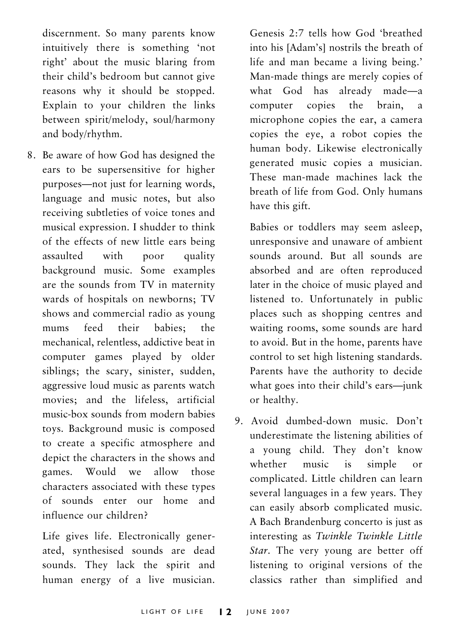discernment. So many parents know intuitively there is something 'not right' about the music blaring from their child's bedroom but cannot give reasons why it should be stopped. Explain to your children the links between spirit/melody, soul/harmony and body/rhythm.

8. Be aware of how God has designed the ears to be supersensitive for higher purposes—not just for learning words, language and music notes, but also receiving subtleties of voice tones and musical expression. I shudder to think of the effects of new little ears being assaulted with poor quality background music. Some examples are the sounds from TV in maternity wards of hospitals on newborns; TV shows and commercial radio as young mums feed their babies; the mechanical, relentless, addictive beat in computer games played by older siblings; the scary, sinister, sudden, aggressive loud music as parents watch movies; and the lifeless, artificial music-box sounds from modern babies toys. Background music is composed to create a specific atmosphere and depict the characters in the shows and games. Would we allow those characters associated with these types of sounds enter our home and influence our children?

Life gives life. Electronically generated, synthesised sounds are dead sounds. They lack the spirit and human energy of a live musician. Genesis 2:7 tells how God 'breathed into his [Adam's] nostrils the breath of life and man became a living being.' Man-made things are merely copies of what God has already made—a computer copies the brain, a microphone copies the ear, a camera copies the eye, a robot copies the human body. Likewise electronically generated music copies a musician. These man-made machines lack the breath of life from God. Only humans have this gift.

Babies or toddlers may seem asleep, unresponsive and unaware of ambient sounds around. But all sounds are absorbed and are often reproduced later in the choice of music played and listened to. Unfortunately in public places such as shopping centres and waiting rooms, some sounds are hard to avoid. But in the home, parents have control to set high listening standards. Parents have the authority to decide what goes into their child's ears—junk or healthy.

9. Avoid dumbed-down music. Don't underestimate the listening abilities of a young child. They don't know whether music is simple or complicated. Little children can learn several languages in a few years. They can easily absorb complicated music. A Bach Brandenburg concerto is just as interesting as Twinkle Twinkle Little Star. The very young are better off listening to original versions of the classics rather than simplified and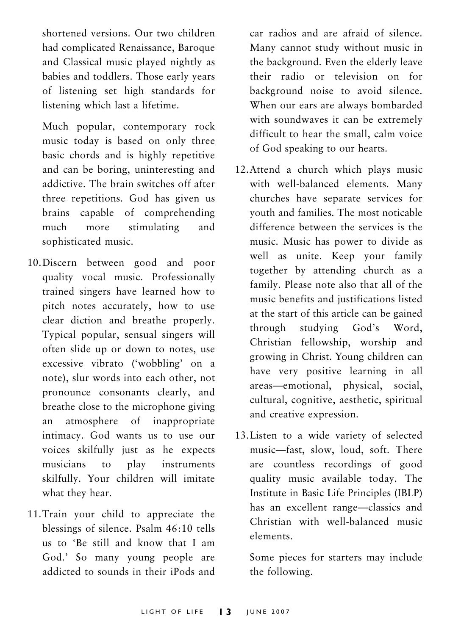shortened versions. Our two children had complicated Renaissance, Baroque and Classical music played nightly as babies and toddlers. Those early years of listening set high standards for listening which last a lifetime.

Much popular, contemporary rock music today is based on only three basic chords and is highly repetitive and can be boring, uninteresting and addictive. The brain switches off after three repetitions. God has given us brains capable of comprehending much more stimulating and sophisticated music.

- 10.Discern between good and poor quality vocal music. Professionally trained singers have learned how to pitch notes accurately, how to use clear diction and breathe properly. Typical popular, sensual singers will often slide up or down to notes, use excessive vibrato ('wobbling' on a note), slur words into each other, not pronounce consonants clearly, and breathe close to the microphone giving an atmosphere of inappropriate intimacy. God wants us to use our voices skilfully just as he expects musicians to play instruments skilfully. Your children will imitate what they hear.
- 11.Train your child to appreciate the blessings of silence. Psalm 46:10 tells us to 'Be still and know that I am God.' So many young people are addicted to sounds in their iPods and

car radios and are afraid of silence. Many cannot study without music in the background. Even the elderly leave their radio or television on for background noise to avoid silence. When our ears are always bombarded with soundwaves it can be extremely difficult to hear the small, calm voice of God speaking to our hearts.

- 12.Attend a church which plays music with well-balanced elements. Many churches have separate services for youth and families. The most noticable difference between the services is the music. Music has power to divide as well as unite. Keep your family together by attending church as a family. Please note also that all of the music benefits and justifications listed at the start of this article can be gained through studying God's Word, Christian fellowship, worship and growing in Christ. Young children can have very positive learning in all areas—emotional, physical, social, cultural, cognitive, aesthetic, spiritual and creative expression.
- 13.Listen to a wide variety of selected music—fast, slow, loud, soft. There are countless recordings of good quality music available today. The Institute in Basic Life Principles (IBLP) has an excellent range—classics and Christian with well-balanced music elements.

Some pieces for starters may include the following.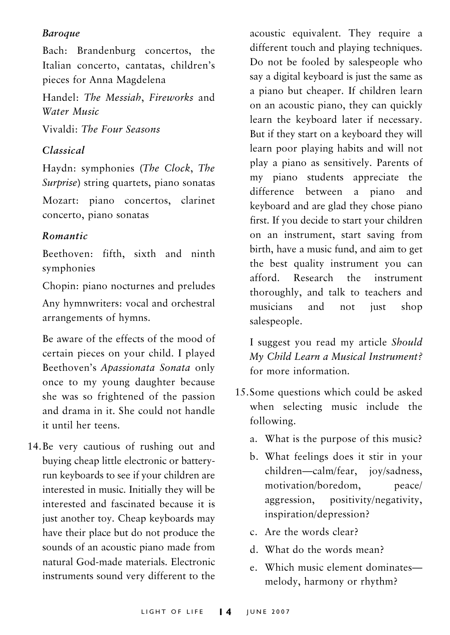#### Baroque

Bach: Brandenburg concertos, the Italian concerto, cantatas, children's pieces for Anna Magdelena

Handel: The Messiah, Fireworks and Water Music

Vivaldi: The Four Seasons

#### Classical

Haydn: symphonies (The Clock, The Surprise) string quartets, piano sonatas Mozart: piano concertos, clarinet concerto, piano sonatas

#### Romantic

Beethoven: fifth, sixth and ninth symphonies

Chopin: piano nocturnes and preludes Any hymnwriters: vocal and orchestral arrangements of hymns.

Be aware of the effects of the mood of certain pieces on your child. I played Beethoven's Apassionata Sonata only once to my young daughter because she was so frightened of the passion and drama in it. She could not handle it until her teens.

14.Be very cautious of rushing out and buying cheap little electronic or batteryrun keyboards to see if your children are interested in music. Initially they will be interested and fascinated because it is just another toy. Cheap keyboards may have their place but do not produce the sounds of an acoustic piano made from natural God-made materials. Electronic instruments sound very different to the

acoustic equivalent. They require a different touch and playing techniques. Do not be fooled by salespeople who say a digital keyboard is just the same as a piano but cheaper. If children learn on an acoustic piano, they can quickly learn the keyboard later if necessary. But if they start on a keyboard they will learn poor playing habits and will not play a piano as sensitively. Parents of my piano students appreciate the difference between a piano and keyboard and are glad they chose piano first. If you decide to start your children on an instrument, start saving from birth, have a music fund, and aim to get the best quality instrument you can afford. Research the instrument thoroughly, and talk to teachers and musicians and not just shop salespeople.

I suggest you read my article Should My Child Learn a Musical Instrument? for more information.

- 15.Some questions which could be asked when selecting music include the following.
	- a. What is the purpose of this music?
	- b. What feelings does it stir in your children—calm/fear, joy/sadness, motivation/boredom, peace/ aggression, positivity/negativity, inspiration/depression?
	- c. Are the words clear?
	- d. What do the words mean?
	- e. Which music element dominates melody, harmony or rhythm?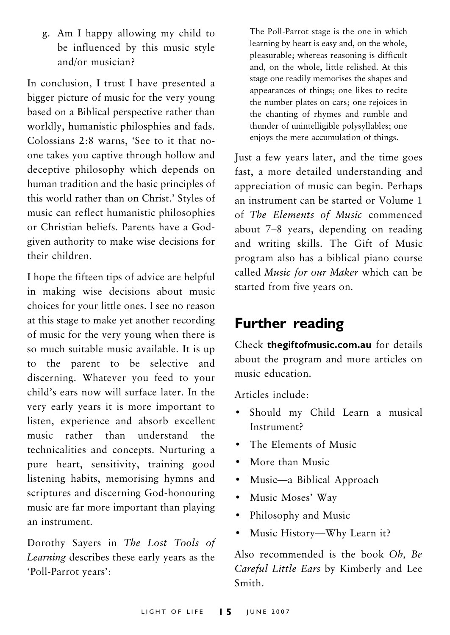g. Am I happy allowing my child to be influenced by this music style and/or musician?

In conclusion, I trust I have presented a bigger picture of music for the very young based on a Biblical perspective rather than worldly, humanistic philosphies and fads. Colossians 2:8 warns, 'See to it that noone takes you captive through hollow and deceptive philosophy which depends on human tradition and the basic principles of this world rather than on Christ.' Styles of music can reflect humanistic philosophies or Christian beliefs. Parents have a Godgiven authority to make wise decisions for their children.

I hope the fifteen tips of advice are helpful in making wise decisions about music choices for your little ones. I see no reason at this stage to make yet another recording of music for the very young when there is so much suitable music available. It is up to the parent to be selective and discerning. Whatever you feed to your child's ears now will surface later. In the very early years it is more important to listen, experience and absorb excellent music rather than understand the technicalities and concepts. Nurturing a pure heart, sensitivity, training good listening habits, memorising hymns and scriptures and discerning God-honouring music are far more important than playing an instrument.

Dorothy Sayers in The Lost Tools of Learning describes these early years as the 'Poll-Parrot years':

The Poll-Parrot stage is the one in which learning by heart is easy and, on the whole, pleasurable; whereas reasoning is difficult and, on the whole, little relished. At this stage one readily memorises the shapes and appearances of things; one likes to recite the number plates on cars; one rejoices in the chanting of rhymes and rumble and thunder of unintelligible polysyllables; one enjoys the mere accumulation of things.

Just a few years later, and the time goes fast, a more detailed understanding and appreciation of music can begin. Perhaps an instrument can be started or Volume 1 of The Elements of Music commenced about 7–8 years, depending on reading and writing skills. The Gift of Music program also has a biblical piano course called Music for our Maker which can be started from five years on.

### Further reading

Check thegiftofmusic.com.au for details about the program and more articles on music education.

Articles include:

- Should my Child Learn a musical Instrument?
- The Elements of Music
- More than Music
- Music—a Biblical Approach
- Music Moses' Way
- Philosophy and Music
- Music History—Why Learn it?

Also recommended is the book Oh, Be Careful Little Ears by Kimberly and Lee Smith.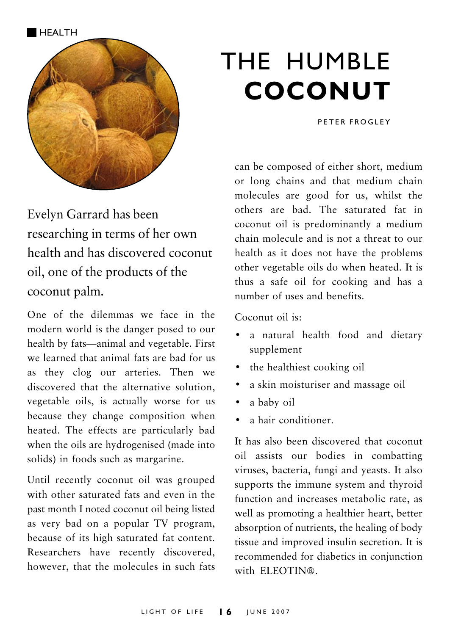

Evelyn Garrard has been researching in terms of her own health and has discovered coconut oil, one of the products of the coconut palm.

One of the dilemmas we face in the modern world is the danger posed to our health by fats—animal and vegetable. First we learned that animal fats are bad for us as they clog our arteries. Then we discovered that the alternative solution, vegetable oils, is actually worse for us because they change composition when heated. The effects are particularly bad when the oils are hydrogenised (made into solids) in foods such as margarine.

Until recently coconut oil was grouped with other saturated fats and even in the past month I noted coconut oil being listed as very bad on a popular TV program, because of its high saturated fat content. Researchers have recently discovered, however, that the molecules in such fats

## THE HUMBLE COCONUT

PETER FROGLEY

can be composed of either short, medium or long chains and that medium chain molecules are good for us, whilst the others are bad. The saturated fat in coconut oil is predominantly a medium chain molecule and is not a threat to our health as it does not have the problems other vegetable oils do when heated. It is thus a safe oil for cooking and has a number of uses and benefits.

Coconut oil is:

- a natural health food and dietary supplement
- the healthiest cooking oil
- a skin moisturiser and massage oil
- a baby oil
- a hair conditioner.

It has also been discovered that coconut oil assists our bodies in combatting viruses, bacteria, fungi and yeasts. It also supports the immune system and thyroid function and increases metabolic rate, as well as promoting a healthier heart, better absorption of nutrients, the healing of body tissue and improved insulin secretion. It is recommended for diabetics in conjunction with ELEOTIN®.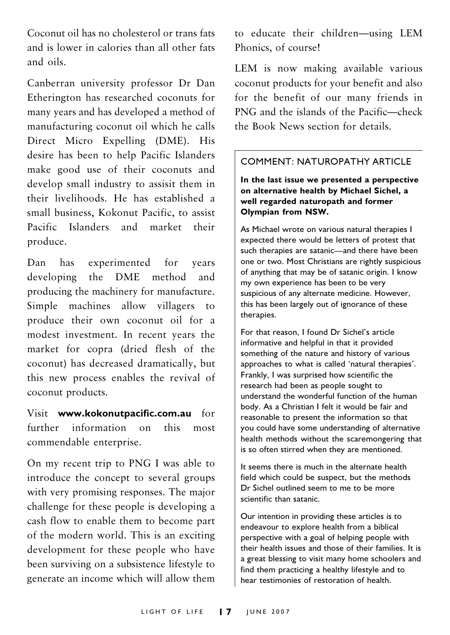Coconut oil has no cholesterol or trans fats and is lower in calories than all other fats and oils.

Canberran university professor Dr Dan Etherington has researched coconuts for many years and has developed a method of manufacturing coconut oil which he calls Direct Micro Expelling (DME). His desire has been to help Pacific Islanders make good use of their coconuts and develop small industry to assisit them in their livelihoods. He has established a small business, Kokonut Pacific, to assist Pacific Islanders and market their produce.

Dan has experimented for years developing the DME method and producing the machinery for manufacture. Simple machines allow villagers to produce their own coconut oil for a modest investment. In recent years the market for copra (dried flesh of the coconut) has decreased dramatically, but this new process enables the revival of coconut products.

Visit www.kokonutpacific.com.au for further information on this most commendable enterprise.

On my recent trip to PNG I was able to introduce the concept to several groups with very promising responses. The major challenge for these people is developing a cash flow to enable them to become part of the modern world. This is an exciting development for these people who have been surviving on a subsistence lifestyle to generate an income which will allow them

to educate their children—using LEM Phonics, of course!

LEM is now making available various coconut products for your benefit and also for the benefit of our many friends in PNG and the islands of the Pacific—check the Book News section for details.

#### COMMENT: NATUROPATHY ARTICLE

#### In the last issue we presented a perspective on alternative health by Michael Sichel, a well regarded naturopath and former Olympian from NSW.

As Michael wrote on various natural therapies I expected there would be letters of protest that such therapies are satanic—and there have been one or two. Most Christians are rightly suspicious of anything that may be of satanic origin. I know my own experience has been to be very suspicious of any alternate medicine. However, this has been largely out of ignorance of these therapies.

For that reason, I found Dr Sichel's article informative and helpful in that it provided something of the nature and history of various approaches to what is called 'natural therapies'. Frankly, I was surprised how scientific the research had been as people sought to understand the wonderful function of the human body. As a Christian I felt it would be fair and reasonable to present the information so that you could have some understanding of alternative health methods without the scaremongering that is so often stirred when they are mentioned.

It seems there is much in the alternate health field which could be suspect, but the methods Dr Sichel outlined seem to me to be more scientific than satanic.

Our intention in providing these articles is to endeavour to explore health from a biblical perspective with a goal of helping people with their health issues and those of their families. It is a great blessing to visit many home schoolers and find them practicing a healthy lifestyle and to hear testimonies of restoration of health.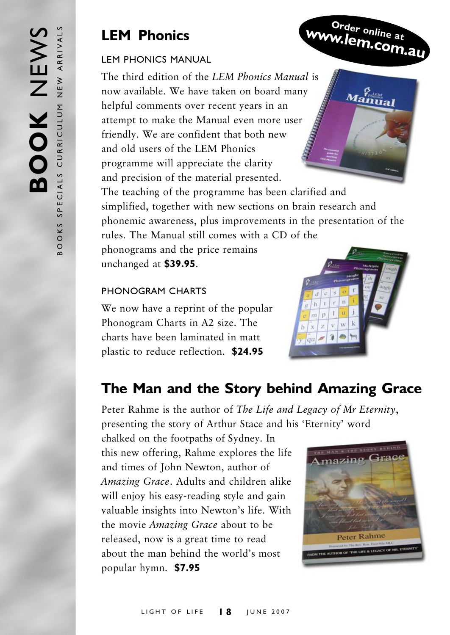### LEM Phonics

#### LEM PHONICS MANUAL

The third edition of the LEM Phonics Manual is now available. We have taken on board many helpful comments over recent years in an attempt to make the Manual even more user friendly. We are confident that both new and old users of the LEM Phonics programme will appreciate the clarity and precision of the material presented.

The teaching of the programme has been clarified and simplified, together with new sections on brain research and phonemic awareness, plus improvements in the presentation of the rules. The Manual still comes with a CD of the

phonograms and the price remains unchanged at \$39.95.

#### PHONOGRAM CHARTS

We now have a reprint of the popular Phonogram Charts in A2 size. The charts have been laminated in matt plastic to reduce reflection. \$24.95



Order online at www.lem.com.au

 $a_{\mathbf{m}\mathbf{u}\mathbf{a}\mathbf{l}}^{\mathcal{G}_{\mathit{m}\mathit{b}\mathit{t}\mathbf{a}}^{\mathcal{G}_{\mathit{m}\mathit{b}\mathit{c}\mathit{b}}^{\mathcal{G}_{\mathit{m}\mathit{b}}^{\mathit{f}_{\mathit{b}}^{\mathit{f}_{\mathit{c}}}}}}$ 

### The Man and the Story behind Amazing Grace

Peter Rahme is the author of The Life and Legacy of Mr Eternity, presenting the story of Arthur Stace and his 'Eternity' word

chalked on the footpaths of Sydney. In this new offering, Rahme explores the life and times of John Newton, author of Amazing Grace. Adults and children alike will enjoy his easy-reading style and gain valuable insights into Newton's life. With the movie Amazing Grace about to be released, now is a great time to read about the man behind the world's most popular hymn. \$7.95

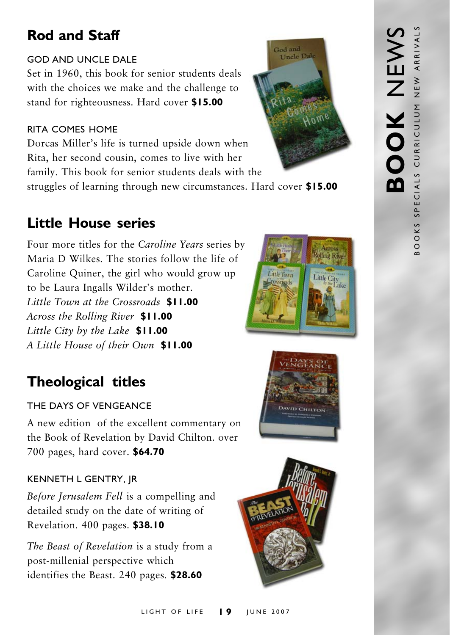## Rod and Staff

#### GOD AND UNCLE DALE

Set in 1960, this book for senior students deals with the choices we make and the challenge to stand for righteousness. Hard cover \$15.00

#### RITA COMES HOME

Dorcas Miller's life is turned upside down when Rita, her second cousin, comes to live with her family. This book for senior students deals with the struggles of learning through new circumstances. Hard cover \$15.00

## Little House series

Four more titles for the Caroline Years series by Maria D Wilkes. The stories follow the life of Caroline Quiner, the girl who would grow up to be Laura Ingalls Wilder's mother. Little Town at the Crossroads \$11.00 Across the Rolling River \$11.00 Little City by the Lake \$11.00 A Little House of their Own \$11.00

## Theological titles

### THE DAYS OF VENGEANCE

A new edition of the excellent commentary on the Book of Revelation by David Chilton. over 700 pages, hard cover. \$64.70

### KENNETH L GENTRY, JR

Before Jerusalem Fell is a compelling and detailed study on the date of writing of Revelation. 400 pages. \$38.10

The Beast of Revelation is a study from a post-millenial perspective which identifies the Beast. 240 pages. \$28.60







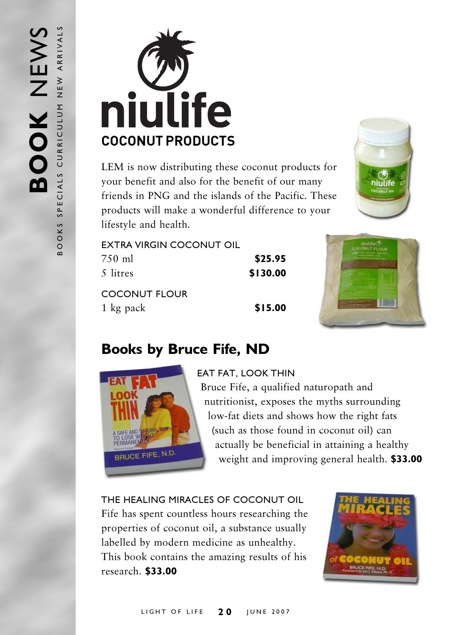

LEM is now distributing these coconut products for your benefit and also for the benefit of our many friends in PNG and the islands of the Pacific. These products will make a wonderful difference to your lifestyle and health.



| EXTRA VIRGIN COCONUT OIL |          |
|--------------------------|----------|
| 750 ml                   | \$25.95  |
| 5 litres                 | \$130.00 |
| COCONUT FLOUR            |          |
| 1 kg pack                | \$15.00  |



## Books by Bruce Fife, ND



#### EAT FAT, LOOK THIN

Bruce Fife, a qualified naturopath and nutritionist, exposes the myths surrounding low-fat diets and shows how the right fats (such as those found in coconut oil) can actually be beneficial in attaining a healthy weight and improving general health. **\$33.00** 

THE HEALING MIRACLES OF COCONUT OIL Fife has spent countless hours researching the properties of coconut oil, a substance usually labelled by modern medicine as unhealthy. This book contains the amazing results of his research. \$33.00

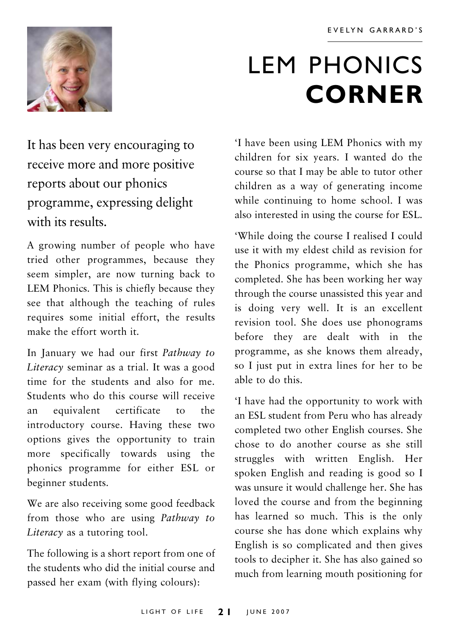

## LEM PHONICS **CORNER**

It has been very encouraging to receive more and more positive reports about our phonics programme, expressing delight with its results

A growing number of people who have tried other programmes, because they seem simpler, are now turning back to LEM Phonics. This is chiefly because they see that although the teaching of rules requires some initial effort, the results make the effort worth it.

In January we had our first Pathway to Literacy seminar as a trial. It was a good time for the students and also for me. Students who do this course will receive an equivalent certificate to the introductory course. Having these two options gives the opportunity to train more specifically towards using the phonics programme for either ESL or beginner students.

We are also receiving some good feedback from those who are using Pathway to Literacy as a tutoring tool.

The following is a short report from one of the students who did the initial course and passed her exam (with flying colours):

'I have been using LEM Phonics with my children for six years. I wanted do the course so that I may be able to tutor other children as a way of generating income while continuing to home school. I was also interested in using the course for ESL.

'While doing the course I realised I could use it with my eldest child as revision for the Phonics programme, which she has completed. She has been working her way through the course unassisted this year and is doing very well. It is an excellent revision tool. She does use phonograms before they are dealt with in the programme, as she knows them already, so I just put in extra lines for her to be able to do this.

'I have had the opportunity to work with an ESL student from Peru who has already completed two other English courses. She chose to do another course as she still struggles with written English. Her spoken English and reading is good so I was unsure it would challenge her. She has loved the course and from the beginning has learned so much. This is the only course she has done which explains why English is so complicated and then gives tools to decipher it. She has also gained so much from learning mouth positioning for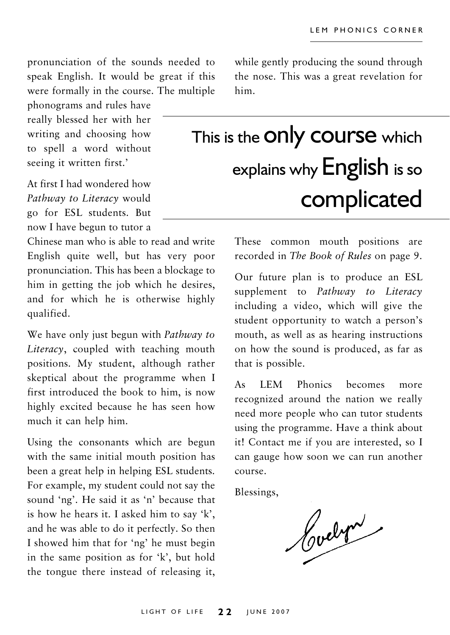pronunciation of the sounds needed to speak English. It would be great if this were formally in the course. The multiple

phonograms and rules have really blessed her with her writing and choosing how to spell a word without seeing it written first.'

At first I had wondered how Pathway to Literacy would go for ESL students. But now I have begun to tutor a

Chinese man who is able to read and write English quite well, but has very poor pronunciation. This has been a blockage to him in getting the job which he desires, and for which he is otherwise highly qualified.

We have only just begun with *Pathway to* Literacy, coupled with teaching mouth positions. My student, although rather skeptical about the programme when I first introduced the book to him, is now highly excited because he has seen how much it can help him.

Using the consonants which are begun with the same initial mouth position has been a great help in helping ESL students. For example, my student could not say the sound 'ng'. He said it as 'n' because that is how he hears it. I asked him to say 'k', and he was able to do it perfectly. So then I showed him that for 'ng' he must begin in the same position as for 'k', but hold the tongue there instead of releasing it,

while gently producing the sound through the nose. This was a great revelation for him.

## This is the **ONy COUISE** which explains why English is so complicated

These common mouth positions are recorded in The Book of Rules on page 9.

Our future plan is to produce an ESL supplement to Pathway to Literacy including a video, which will give the student opportunity to watch a person's mouth, as well as as hearing instructions on how the sound is produced, as far as that is possible.

As LEM Phonics becomes more recognized around the nation we really need more people who can tutor students using the programme. Have a think about it! Contact me if you are interested, so I can gauge how soon we can run another course.

Blessings,

Cochris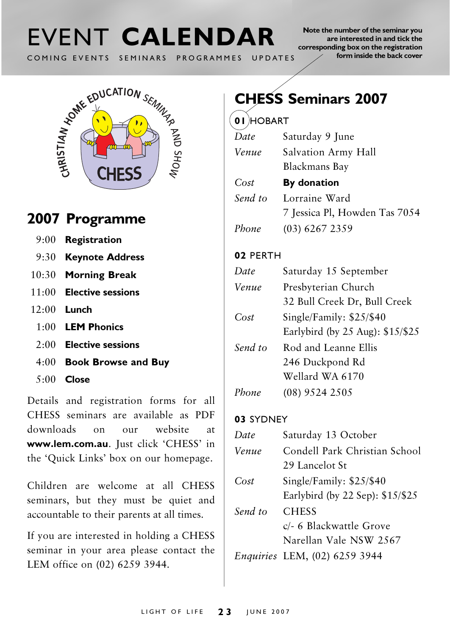# COMING EVENTS SEMINARS PROGRAMMES UPDATES

Note the number of the seminar you are interested in and tick the corresponding box on the registration form inside the back cover



### 2007 Programme

- 9:00 Registration
- 9:30 Keynote Address
- 10:30 Morning Break
- 11:00 Elective sessions
- 12:00 Lunch
	- 1:00 LEM Phonics
	- 2:00 Elective sessions
	- 4:00 Book Browse and Buy
	- 5:00 Close

Details and registration forms for all CHESS seminars are available as PDF downloads on our website at www.lem.com.au. Just click 'CHESS' in the 'Quick Links' box on our homepage.

Children are welcome at all CHESS seminars, but they must be quiet and accountable to their parents at all times.

If you are interested in holding a CHESS seminar in your area please contact the LEM office on (02) 6259 3944.

## CHESS Seminars 2007

#### 01 HOBART

| Date    | Saturday 9 June               |
|---------|-------------------------------|
| Venue   | Salvation Army Hall           |
|         | <b>Blackmans Bay</b>          |
| Cost    | By donation                   |
| Send to | Lorraine Ward                 |
|         | 7 Jessica Pl, Howden Tas 7054 |
| Phone   | $(03)$ 6267 2359              |

#### 02 PERTH

| Date    | Saturday 15 September            |
|---------|----------------------------------|
| Venue   | Presbyterian Church              |
|         | 32 Bull Creek Dr, Bull Creek     |
| Cost    | Single/Family: $$25/$40$         |
|         | Earlybird (by 25 Aug): \$15/\$25 |
| Send to | Rod and Leanne Ellis             |
|         | 246 Duckpond Rd                  |
|         | Wellard WA 6170                  |
| Phone   | (08) 9524 2505                   |

#### 03 SYDNEY

| Date    | Saturday 13 October                                               |
|---------|-------------------------------------------------------------------|
| Venue   | Condell Park Christian School<br>29 Lancelot St                   |
| Cost    | Single/Family: \$25/\$40<br>Earlybird (by 22 Sep): \$15/\$25      |
| Send to | <b>CHESS</b><br>c/- 6 Blackwattle Grove<br>Narellan Vale NSW 2567 |
|         | Enquiries LEM, (02) 6259 3944                                     |